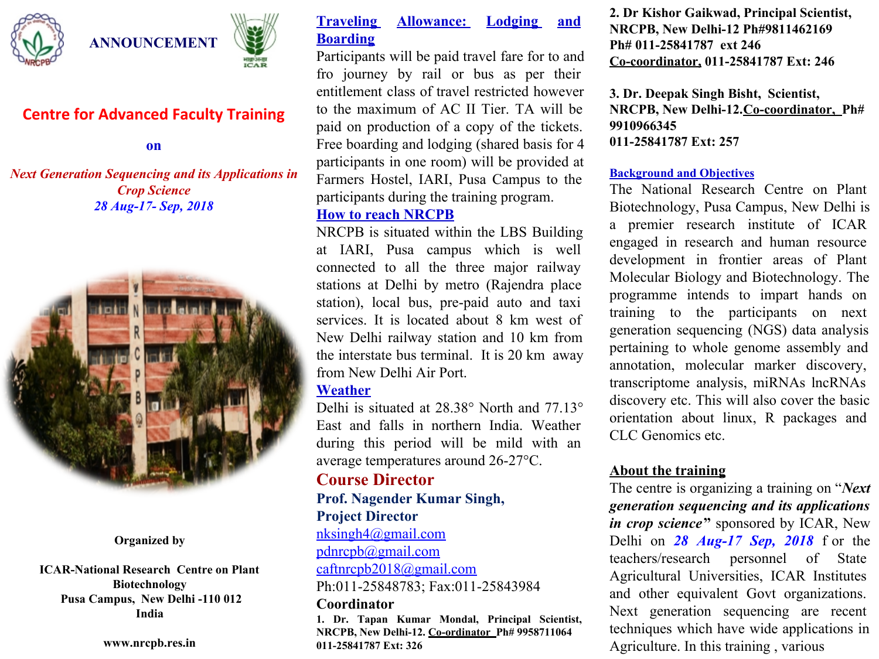